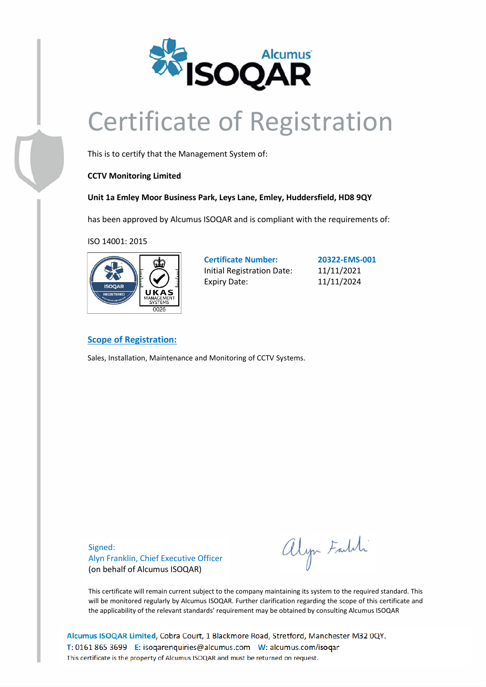

# Certificate of Registration

This is to certify that the Management System of:

### **CCTV Monitoring Limited**

### **Unit 1a Emley Moor Business Park, Leys Lane, Emley, Huddersfield, HD8 9QY**

has been approved by Alcumus ISOQAR and is compliant with the requirements of:

ISO 14001: 2015



**Certificate Number: 20322-EMS-001** Initial Registration Date: 11/11/2021 Expiry Date: 11/11/2024

### **Scope of Registration:**

Sales, Installation, Maintenance and Monitoring of CCTV Systems.

Signed: Alyn Franklin, Chief Executive Officer (on behalf of Alcumus ISOQAR)

alyn Faldi

This certificate will remain current subject to the company maintaining its system to the required standard. This will be monitored regularly by Alcumus ISOQAR. Further clarification regarding the scope of this certificate and the applicability of the relevant standards' requirement may be obtained by consulting Alcumus ISOQAR

Alcumus ISOQAR Limited, Cobra Court, 1 Blackmore Road, Stretford, Manchester M32 0QY. T: 0161 865 3699 E: isoqarenquiries@alcumus.com W: alcumus.com/isoqar This certificate is the property of Alcumus ISOQAR and must be returned on request.